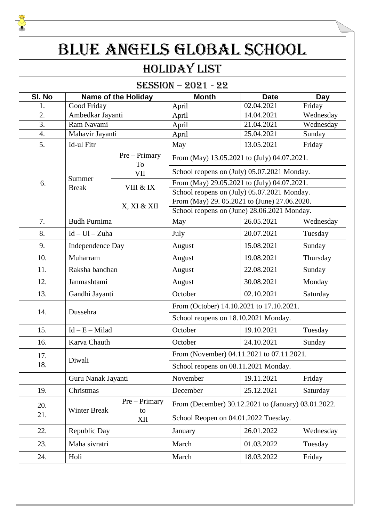# BLUE ANGELS GLOBAL SCHOOL

### Holiday List

SESSION – 2021 - 22

| SI. No           | <b>Name of the Holiday</b> |                     | <b>Month</b>                                        | <b>Date</b>                                                            | Day       |  |  |
|------------------|----------------------------|---------------------|-----------------------------------------------------|------------------------------------------------------------------------|-----------|--|--|
| 1.               | Good Friday                |                     | April                                               | 02.04.2021                                                             | Friday    |  |  |
| 2.               | Ambedkar Jayanti           |                     | April                                               | 14.04.2021                                                             | Wednesday |  |  |
| $\overline{3}$ . | Ram Navami                 |                     | April                                               | 21.04.2021                                                             | Wednesday |  |  |
| 4.               | Mahavir Jayanti            |                     | April                                               | 25.04.2021                                                             | Sunday    |  |  |
| 5.               | Id-ul Fitr                 |                     | May                                                 | 13.05.2021                                                             | Friday    |  |  |
|                  |                            | $Pre-Primary$<br>To | From (May) 13.05.2021 to (July) 04.07.2021.         |                                                                        |           |  |  |
|                  |                            | VII                 | School reopens on (July) 05.07.2021 Monday.         |                                                                        |           |  |  |
| 6.               | Summer<br><b>Break</b>     | VIII & IX           | From (May) 29.05.2021 to (July) 04.07.2021.         |                                                                        |           |  |  |
|                  |                            |                     | School reopens on (July) 05.07.2021 Monday.         |                                                                        |           |  |  |
|                  |                            | X, XI & XII         | From (May) 29. 05.2021 to (June) 27.06.2020.        |                                                                        |           |  |  |
|                  |                            |                     |                                                     | School reopens on (June) 28.06.2021 Monday.<br>26.05.2021<br>Wednesday |           |  |  |
| 7.               | <b>Budh Purnima</b>        |                     | May                                                 |                                                                        |           |  |  |
| 8.               | $Id - Ul - Zuha$           |                     | July                                                | 20.07.2021                                                             | Tuesday   |  |  |
| 9.               | Independence Day           |                     | August                                              | 15.08.2021                                                             | Sunday    |  |  |
| 10.              | Muharram                   |                     | August                                              | 19.08.2021                                                             | Thursday  |  |  |
| 11.              | Raksha bandhan             |                     | August                                              | 22.08.2021                                                             | Sunday    |  |  |
| 12.              | Janmashtami                |                     | August                                              | 30.08.2021                                                             | Monday    |  |  |
| 13.              | Gandhi Jayanti             |                     | October                                             | 02.10.2021                                                             | Saturday  |  |  |
| 14.              | Dussehra                   |                     | From (October) 14.10.2021 to 17.10.2021.            |                                                                        |           |  |  |
|                  |                            |                     | School reopens on 18.10.2021 Monday.                |                                                                        |           |  |  |
| 15.              | $Id - E - Milad$           |                     | October                                             | 19.10.2021                                                             | Tuesday   |  |  |
| 16.              | Karva Chauth               |                     | October                                             | 24.10.2021                                                             | Sunday    |  |  |
| 17.              | Diwali                     |                     | From (November) 04.11.2021 to 07.11.2021.           |                                                                        |           |  |  |
| 18.              |                            |                     | School reopens on 08.11.2021 Monday.                |                                                                        |           |  |  |
|                  | Guru Nanak Jayanti         |                     | November                                            | 19.11.2021                                                             | Friday    |  |  |
| 19.              | Christmas                  |                     | December                                            | 25.12.2021                                                             | Saturday  |  |  |
| 20.              | Winter Break               | $Pre-Primary$<br>to | From (December) 30.12.2021 to (January) 03.01.2022. |                                                                        |           |  |  |
| 21.              |                            | XII                 | School Reopen on 04.01.2022 Tuesday.                |                                                                        |           |  |  |
| 22.              | Republic Day               |                     | January                                             | 26.01.2022                                                             | Wednesday |  |  |
| 23.              | Maha sivratri              |                     | March                                               | 01.03.2022                                                             | Tuesday   |  |  |
| 24.              | Holi                       |                     | March                                               | 18.03.2022                                                             | Friday    |  |  |

J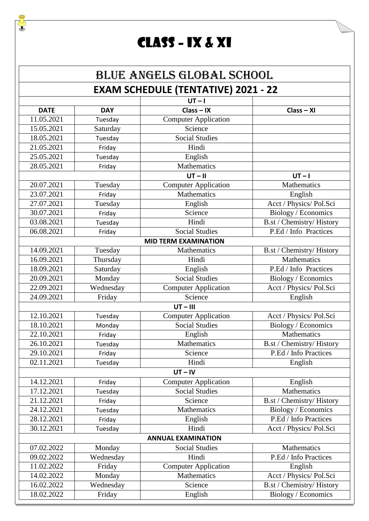### Class – IX & XI

J

#### BLUE ANGELS GLOBAL SCHOOL **EXAM SCHEDULE (TENTATIVE) 2021 - 22**

|                           | $UT - I$   |                             |                           |  |  |
|---------------------------|------------|-----------------------------|---------------------------|--|--|
| <b>DATE</b>               | <b>DAY</b> | $Class - IX$                | $Class - XI$              |  |  |
| 11.05.2021                | Tuesday    | <b>Computer Application</b> |                           |  |  |
| 15.05.2021                | Saturday   | Science                     |                           |  |  |
| 18.05.2021                | Tuesday    | <b>Social Studies</b>       |                           |  |  |
| 21.05.2021                | Friday     | Hindi                       |                           |  |  |
| 25.05.2021                | Tuesday    | English                     |                           |  |  |
| 28.05.2021                | Friday     | Mathematics                 |                           |  |  |
|                           |            | $UT - II$                   | $UT-I$                    |  |  |
| 20.07.2021                | Tuesday    | <b>Computer Application</b> | Mathematics               |  |  |
| 23.07.2021                | Friday     | Mathematics                 | English                   |  |  |
| 27.07.2021                | Tuesday    | English                     | Acct / Physics/ Pol.Sci   |  |  |
| 30.07.2021                | Friday     | Science                     | Biology / Economics       |  |  |
| 03.08.2021                | Tuesday    | Hindi                       | B.st / Chemistry/ History |  |  |
| 06.08.2021                | Friday     | <b>Social Studies</b>       | P.Ed / Info Practices     |  |  |
|                           |            | <b>MID TERM EXAMINATION</b> |                           |  |  |
| 14.09.2021                | Tuesday    | Mathematics                 | B.st / Chemistry/ History |  |  |
| 16.09.2021                | Thursday   | Hindi                       | Mathematics               |  |  |
| 18.09.2021                | Saturday   | English                     | P.Ed / Info Practices     |  |  |
| 20.09.2021                | Monday     | <b>Social Studies</b>       | Biology / Economics       |  |  |
| 22.09.2021                | Wednesday  | <b>Computer Application</b> | Acct / Physics/ Pol.Sci   |  |  |
| 24.09.2021                | Friday     | Science                     | English                   |  |  |
|                           |            | $UT - III$                  |                           |  |  |
| 12.10.2021                | Tuesday    | <b>Computer Application</b> | Acct / Physics/ Pol.Sci   |  |  |
| 18.10.2021                | Monday     | <b>Social Studies</b>       | Biology / Economics       |  |  |
| 22.10.2021                | Friday     | English                     | Mathematics               |  |  |
| 26.10.2021                | Tuesday    | Mathematics                 | B.st / Chemistry/ History |  |  |
| 29.10.2021                | Friday     | Science                     | P.Ed / Info Practices     |  |  |
| 02.11.2021                | Tuesday    | Hindi                       | English                   |  |  |
|                           |            | $UT - IV$                   |                           |  |  |
| 14.12.2021                | Friday     | <b>Computer Application</b> | English                   |  |  |
| 17.12.2021                | Tuesday    | <b>Social Studies</b>       | <b>Mathematics</b>        |  |  |
| 21.12.2021                | Friday     | Science                     | B.st / Chemistry/ History |  |  |
| 24.12.2021                | Tuesday    | Mathematics                 | Biology / Economics       |  |  |
| 28.12.2021                | Friday     | English                     | P.Ed / Info Practices     |  |  |
| 30.12.2021                | Tuesday    | Hindi                       | Acct / Physics/ Pol.Sci   |  |  |
| <b>ANNUAL EXAMINATION</b> |            |                             |                           |  |  |
| 07.02.2022                | Monday     | <b>Social Studies</b>       | Mathematics               |  |  |
| 09.02.2022                | Wednesday  | Hindi                       | P.Ed / Info Practices     |  |  |
| 11.02.2022                | Friday     | Computer Application        | English                   |  |  |
| 14.02.2022                | Monday     | Mathematics                 | Acct / Physics/ Pol.Sci   |  |  |
| 16.02.2022                | Wednesday  | Science                     | B.st / Chemistry/ History |  |  |
| 18.02.2022                | Friday     | English                     | Biology / Economics       |  |  |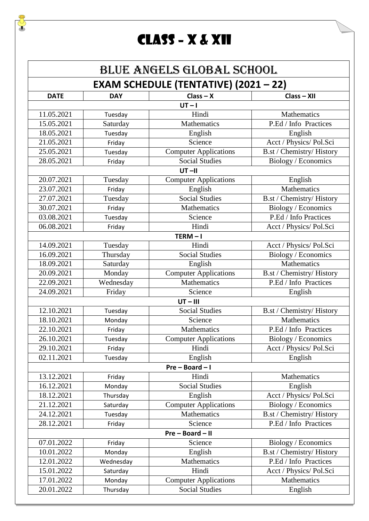## Class – X & XII

F

|             | <b>BLUE ANGELS GLOBAL SCHOOL</b>             |                              |                           |  |  |
|-------------|----------------------------------------------|------------------------------|---------------------------|--|--|
|             | <b>EXAM SCHEDULE (TENTATIVE) (2021 - 22)</b> |                              |                           |  |  |
| <b>DATE</b> | <b>DAY</b>                                   | $Class - X$                  | $Class - XII$             |  |  |
|             |                                              | $UT-I$                       |                           |  |  |
| 11.05.2021  | Tuesday                                      | Hindi                        | Mathematics               |  |  |
| 15.05.2021  | Saturday                                     | Mathematics                  | P.Ed / Info Practices     |  |  |
| 18.05.2021  | Tuesday                                      | English                      | English                   |  |  |
| 21.05.2021  | Friday                                       | Science                      | Acct / Physics/ Pol.Sci   |  |  |
| 25.05.2021  | Tuesday                                      | <b>Computer Applications</b> | B.st / Chemistry/ History |  |  |
| 28.05.2021  | Friday                                       | <b>Social Studies</b>        | Biology / Economics       |  |  |
|             |                                              | $UT - II$                    |                           |  |  |
| 20.07.2021  | Tuesday                                      | <b>Computer Applications</b> | English                   |  |  |
| 23.07.2021  | Friday                                       | English                      | Mathematics               |  |  |
| 27.07.2021  | Tuesday                                      | <b>Social Studies</b>        | B.st / Chemistry/ History |  |  |
| 30.07.2021  | Friday                                       | Mathematics                  | Biology / Economics       |  |  |
| 03.08.2021  | Tuesday                                      | Science                      | P.Ed / Info Practices     |  |  |
| 06.08.2021  | Friday                                       | Hindi                        | Acct / Physics/ Pol.Sci   |  |  |
|             |                                              | $TERM - I$                   |                           |  |  |
| 14.09.2021  | Tuesday                                      | Hindi                        | Acct / Physics/ Pol.Sci   |  |  |
| 16.09.2021  | Thursday                                     | Social Studies               | Biology / Economics       |  |  |
| 18.09.2021  | Saturday                                     | English                      | Mathematics               |  |  |
| 20.09.2021  | Monday                                       | <b>Computer Applications</b> | B.st / Chemistry/ History |  |  |
| 22.09.2021  | Wednesday                                    | Mathematics                  | P.Ed / Info Practices     |  |  |
| 24.09.2021  | Friday                                       | Science                      | English                   |  |  |
|             |                                              | $UT - III$                   |                           |  |  |
| 12.10.2021  | Tuesday                                      | <b>Social Studies</b>        | B.st / Chemistry/ History |  |  |
| 18.10.2021  | Monday                                       | Science                      | Mathematics               |  |  |
| 22.10.2021  | Friday                                       | Mathematics                  | P.Ed / Info Practices     |  |  |
| 26.10.2021  | Tuesday                                      | <b>Computer Applications</b> | Biology / Economics       |  |  |
| 29.10.2021  | Friday                                       | Hindi                        | Acct / Physics/ Pol.Sci   |  |  |
| 02.11.2021  | Tuesday                                      | English                      | English                   |  |  |
|             |                                              | Pre-Board-I                  |                           |  |  |
| 13.12.2021  | Friday                                       | Hindi                        | Mathematics               |  |  |
| 16.12.2021  | Monday                                       | <b>Social Studies</b>        | English                   |  |  |
| 18.12.2021  | Thursday                                     | English                      | Acct / Physics/ Pol.Sci   |  |  |
| 21.12.2021  | Saturday                                     | <b>Computer Applications</b> | Biology / Economics       |  |  |
| 24.12.2021  | Tuesday                                      | Mathematics                  | B.st / Chemistry/ History |  |  |
| 28.12.2021  | Friday                                       | Science                      | P.Ed / Info Practices     |  |  |
|             | Pre - Board - II                             |                              |                           |  |  |
| 07.01.2022  | Friday                                       | Science                      | Biology / Economics       |  |  |
| 10.01.2022  | Monday                                       | English                      | B.st / Chemistry/ History |  |  |
| 12.01.2022  | Wednesday                                    | Mathematics                  | P.Ed / Info Practices     |  |  |
| 15.01.2022  | Saturday                                     | Hindi                        | Acct / Physics/ Pol.Sci   |  |  |
| 17.01.2022  | Monday                                       | <b>Computer Applications</b> | Mathematics               |  |  |
| 20.01.2022  | Thursday                                     | <b>Social Studies</b>        | English                   |  |  |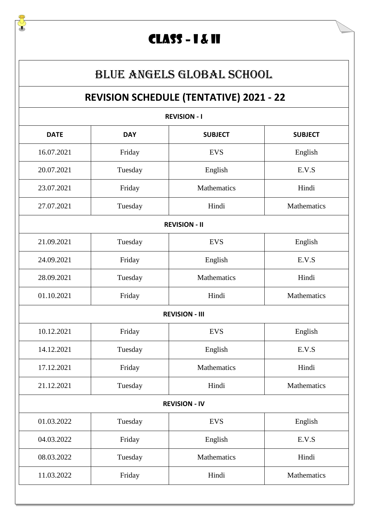### CLASS – I & II

#### BLUE ANGELS GLOBAL SCHOOL

### **REVISION SCHEDULE (TENTATIVE) 2021 - 22**

| <b>REVISION - I</b>  |            |                       |                |  |  |
|----------------------|------------|-----------------------|----------------|--|--|
| <b>DATE</b>          | <b>DAY</b> | <b>SUBJECT</b>        | <b>SUBJECT</b> |  |  |
| 16.07.2021           | Friday     | <b>EVS</b>            | English        |  |  |
| 20.07.2021           | Tuesday    | English               | E.V.S          |  |  |
| 23.07.2021           | Friday     | Mathematics           | Hindi          |  |  |
| 27.07.2021           | Tuesday    | Hindi                 | Mathematics    |  |  |
|                      |            | <b>REVISION - II</b>  |                |  |  |
| 21.09.2021           | Tuesday    | <b>EVS</b>            | English        |  |  |
| 24.09.2021           | Friday     | English               | E.V.S          |  |  |
| 28.09.2021           | Tuesday    | Mathematics           | Hindi          |  |  |
| 01.10.2021           | Friday     | Hindi                 | Mathematics    |  |  |
|                      |            | <b>REVISION - III</b> |                |  |  |
| 10.12.2021           | Friday     | <b>EVS</b>            | English        |  |  |
| 14.12.2021           | Tuesday    | English               | E.V.S          |  |  |
| 17.12.2021           | Friday     | Mathematics           | Hindi          |  |  |
| 21.12.2021           | Tuesday    | Hindi                 | Mathematics    |  |  |
| <b>REVISION - IV</b> |            |                       |                |  |  |
| 01.03.2022           | Tuesday    | <b>EVS</b>            | English        |  |  |
| 04.03.2022           | Friday     | English               | E.V.S          |  |  |
| 08.03.2022           | Tuesday    | Mathematics           | Hindi          |  |  |
| 11.03.2022           | Friday     | Hindi                 | Mathematics    |  |  |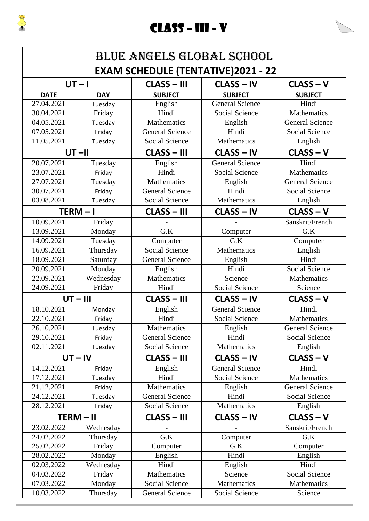# CLASS – III - V

F

|             |            |                        | <b>BLUE ANGELS GLOBAL SCHOOL</b>          |                        |
|-------------|------------|------------------------|-------------------------------------------|------------------------|
|             |            |                        | <b>EXAM SCHEDULE (TENTATIVE)2021 - 22</b> |                        |
| $UT - I$    |            | <b>CLASS - III</b>     | $CLASS - IV$                              | CLASS-V                |
| <b>DATE</b> | <b>DAY</b> | <b>SUBJECT</b>         | <b>SUBJECT</b>                            | <b>SUBJECT</b>         |
| 27.04.2021  | Tuesday    | English                | <b>General Science</b>                    | Hindi                  |
| 30.04.2021  | Friday     | Hindi                  | <b>Social Science</b>                     | Mathematics            |
| 04.05.2021  | Tuesday    | Mathematics            | English                                   | <b>General Science</b> |
| 07.05.2021  | Friday     | <b>General Science</b> | Hindi                                     | Social Science         |
| 11.05.2021  | Tuesday    | Social Science         | Mathematics                               | English                |
|             | $UT - II$  | <b>CLASS - III</b>     | <b>CLASS - IV</b>                         | $CLASS - V$            |
| 20.07.2021  | Tuesday    | English                | <b>General Science</b>                    | Hindi                  |
| 23.07.2021  | Friday     | Hindi                  | Social Science                            | Mathematics            |
| 27.07.2021  | Tuesday    | <b>Mathematics</b>     | English                                   | <b>General Science</b> |
| 30.07.2021  | Friday     | <b>General Science</b> | Hindi                                     | <b>Social Science</b>  |
| 03.08.2021  | Tuesday    | Social Science         | Mathematics                               | English                |
|             | TERM-I     | <b>CLASS - III</b>     | <b>CLASS - IV</b>                         | $CLASS - V$            |
| 10.09.2021  | Friday     |                        |                                           | Sanskrit/French        |
| 13.09.2021  | Monday     | G.K                    | Computer                                  | G.K                    |
| 14.09.2021  | Tuesday    | Computer               | G.K                                       | Computer               |
| 16.09.2021  | Thursday   | Social Science         | Mathematics                               | English                |
| 18.09.2021  | Saturday   | <b>General Science</b> | English                                   | Hindi                  |
| 20.09.2021  | Monday     | English                | Hindi                                     | <b>Social Science</b>  |
| 22.09.2021  | Wednesday  | Mathematics            | Science                                   | Mathematics            |
| 24.09.2021  | Friday     | Hindi                  | <b>Social Science</b>                     | Science                |
|             | $UT - III$ | <b>CLASS - III</b>     | <b>CLASS - IV</b>                         | CLASS-V                |
| 18.10.2021  | Monday     | English                | <b>General Science</b>                    | Hindi                  |
| 22.10.2021  | Friday     | Hindi                  | Social Science                            | Mathematics            |
| 26.10.2021  | Tuesday    | Mathematics            | English                                   | <b>General Science</b> |
| 29.10.2021  | Friday     | <b>General Science</b> | Hindi                                     | <b>Social Science</b>  |
| 02.11.2021  | Tuesday    | Social Science         | Mathematics                               | English                |
|             | $UT - IV$  | <b>CLASS - III</b>     | <b>CLASS - IV</b>                         | $CLASS - V$            |
| 14.12.2021  | Friday     | English                | <b>General Science</b>                    | Hindi                  |
| 17.12.2021  | Tuesday    | Hindi                  | Social Science                            | Mathematics            |
| 21.12.2021  | Friday     | Mathematics            | English                                   | <b>General Science</b> |
| 24.12.2021  | Tuesday    | <b>General Science</b> | Hindi                                     | <b>Social Science</b>  |
| 28.12.2021  | Friday     | Social Science         | Mathematics                               | English                |
| TERM - II   |            | <b>CLASS - III</b>     | CLASS - IV                                | $CLASS-V$              |
| 23.02.2022  | Wednesday  |                        |                                           | Sanskrit/French        |
|             |            |                        |                                           |                        |
| 24.02.2022  | Thursday   | G.K                    | Computer                                  | G.K                    |
| 25.02.2022  | Friday     | Computer               | G.K                                       | Computer               |
| 28.02.2022  | Monday     | English                | Hindi                                     | English                |
| 02.03.2022  | Wednesday  | Hindi                  |                                           | Hindi                  |
| 04.03.2022  | Friday     | Mathematics            | English<br>Science                        | <b>Social Science</b>  |
| 07.03.2022  | Monday     | Social Science         | Mathematics                               | Mathematics            |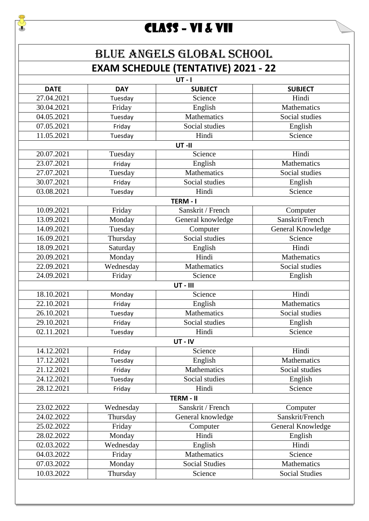### CLASS – VI & VII

J

#### BLUE ANGELS GLOBAL SCHOOL **EXAM SCHEDULE (TENTATIVE) 2021 - 22**

|             |            | $UT - I$              |                   |
|-------------|------------|-----------------------|-------------------|
| <b>DATE</b> | <b>DAY</b> | <b>SUBJECT</b>        | <b>SUBJECT</b>    |
| 27.04.2021  | Tuesday    | Science               | Hindi             |
| 30.04.2021  | Friday     | English               | Mathematics       |
| 04.05.2021  | Tuesday    | Mathematics           | Social studies    |
| 07.05.2021  | Friday     | Social studies        | English           |
| 11.05.2021  | Tuesday    | Hindi                 | Science           |
|             |            | UT-II                 |                   |
| 20.07.2021  | Tuesday    | Science               | Hindi             |
| 23.07.2021  | Friday     | English               | Mathematics       |
| 27.07.2021  | Tuesday    | Mathematics           | Social studies    |
| 30.07.2021  | Friday     | Social studies        | English           |
| 03.08.2021  | Tuesday    | Hindi                 | Science           |
|             |            | TERM - I              |                   |
| 10.09.2021  | Friday     | Sanskrit / French     | Computer          |
| 13.09.2021  | Monday     | General knowledge     | Sanskrit/French   |
| 14.09.2021  | Tuesday    | Computer              | General Knowledge |
| 16.09.2021  | Thursday   | Social studies        | Science           |
| 18.09.2021  | Saturday   | English               | Hindi             |
| 20.09.2021  | Monday     | Hindi                 | Mathematics       |
| 22.09.2021  | Wednesday  | Mathematics           | Social studies    |
| 24.09.2021  | Friday     | Science               | English           |
|             |            | <b>UT - III</b>       |                   |
| 18.10.2021  | Monday     | Science               | Hindi             |
| 22.10.2021  | Friday     | English               | Mathematics       |
| 26.10.2021  | Tuesday    | Mathematics           | Social studies    |
| 29.10.2021  | Friday     | Social studies        | English           |
| 02.11.2021  | Tuesday    | Hindi                 | Science           |
|             |            | UT-IV                 |                   |
| 14.12.2021  | Friday     | Science               | Hindi             |
| 17.12.2021  | Tuesday    | English               | Mathematics       |
| 21.12.2021  | Friday     | Mathematics           | Social studies    |
| 24.12.2021  | Tuesday    | Social studies        | English           |
| 28.12.2021  | Friday     | Hindi                 | Science           |
|             |            | <b>TERM - II</b>      |                   |
| 23.02.2022  | Wednesday  | Sanskrit / French     | Computer          |
| 24.02.2022  | Thursday   | General knowledge     | Sanskrit/French   |
| 25.02.2022  | Friday     | Computer              | General Knowledge |
| 28.02.2022  | Monday     | Hindi                 | English           |
| 02.03.2022  | Wednesday  | English               | Hindi             |
| 04.03.2022  | Friday     | Mathematics           | Science           |
| 07.03.2022  | Monday     | <b>Social Studies</b> | Mathematics       |
|             |            |                       |                   |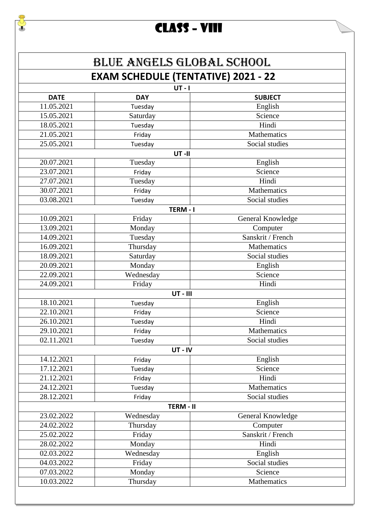## CLASS – VIII

|             | <b>BLUE ANGELS GLOBAL SCHOOL</b>           |                   |
|-------------|--------------------------------------------|-------------------|
|             | <b>EXAM SCHEDULE (TENTATIVE) 2021 - 22</b> |                   |
|             | $UT - I$                                   |                   |
| <b>DATE</b> | <b>DAY</b>                                 | <b>SUBJECT</b>    |
| 11.05.2021  | Tuesday                                    | English           |
| 15.05.2021  | Saturday                                   | Science           |
| 18.05.2021  | Tuesday                                    | Hindi             |
| 21.05.2021  | Friday                                     | Mathematics       |
| 25.05.2021  | Tuesday                                    | Social studies    |
|             | UT-II                                      |                   |
| 20.07.2021  | Tuesday                                    | English           |
| 23.07.2021  | Friday                                     | Science           |
| 27.07.2021  | Tuesday                                    | Hindi             |
| 30.07.2021  | Friday                                     | Mathematics       |
| 03.08.2021  | Tuesday                                    | Social studies    |
|             | TERM-I                                     |                   |
| 10.09.2021  | Friday                                     | General Knowledge |
| 13.09.2021  | Monday                                     | Computer          |
| 14.09.2021  | Tuesday                                    | Sanskrit / French |
| 16.09.2021  | Thursday                                   | Mathematics       |
| 18.09.2021  | Saturday                                   | Social studies    |
| 20.09.2021  | Monday                                     | English           |
| 22.09.2021  | Wednesday                                  | Science           |
| 24.09.2021  | Friday                                     | Hindi             |
|             | <b>UT-III</b>                              |                   |
| 18.10.2021  | Tuesday                                    | English           |
| 22.10.2021  | Friday                                     | Science           |
| 26.10.2021  | Tuesday                                    | Hindi             |
| 29.10.2021  | Friday                                     | Mathematics       |
| 02.11.2021  | Tuesday                                    | Social studies    |
|             | UT-IV                                      |                   |
| 14.12.2021  | Friday                                     | English           |
| 17.12.2021  | Tuesday                                    | Science           |
| 21.12.2021  | Friday                                     | Hindi             |
| 24.12.2021  | Tuesday                                    | Mathematics       |
| 28.12.2021  | Friday                                     | Social studies    |
|             |                                            |                   |
|             | TERM - II                                  |                   |
| 23.02.2022  | Wednesday                                  | General Knowledge |
| 24.02.2022  | Thursday                                   | Computer          |
| 25.02.2022  | Friday                                     | Sanskrit / French |
| 28.02.2022  | Monday                                     | Hindi             |
| 02.03.2022  | Wednesday                                  | English           |
| 04.03.2022  | Friday                                     | Social studies    |
| 07.03.2022  | Monday                                     | Science           |
| 10.03.2022  | Thursday                                   | Mathematics       |